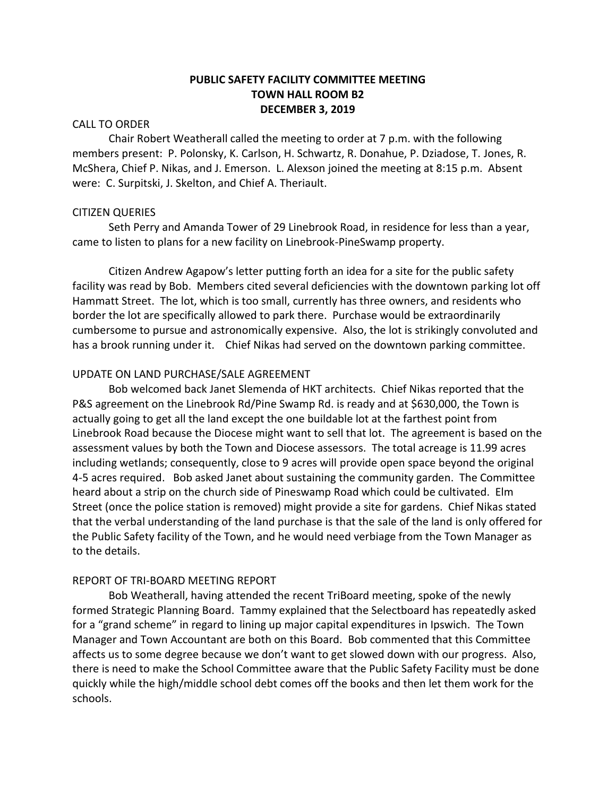# **PUBLIC SAFETY FACILITY COMMITTEE MEETING TOWN HALL ROOM B2 DECEMBER 3, 2019**

## CALL TO ORDER

Chair Robert Weatherall called the meeting to order at 7 p.m. with the following members present: P. Polonsky, K. Carlson, H. Schwartz, R. Donahue, P. Dziadose, T. Jones, R. McShera, Chief P. Nikas, and J. Emerson. L. Alexson joined the meeting at 8:15 p.m. Absent were: C. Surpitski, J. Skelton, and Chief A. Theriault.

## CITIZEN QUERIES

Seth Perry and Amanda Tower of 29 Linebrook Road, in residence for less than a year, came to listen to plans for a new facility on Linebrook-PineSwamp property.

Citizen Andrew Agapow's letter putting forth an idea for a site for the public safety facility was read by Bob. Members cited several deficiencies with the downtown parking lot off Hammatt Street. The lot, which is too small, currently has three owners, and residents who border the lot are specifically allowed to park there. Purchase would be extraordinarily cumbersome to pursue and astronomically expensive. Also, the lot is strikingly convoluted and has a brook running under it. Chief Nikas had served on the downtown parking committee.

## UPDATE ON LAND PURCHASE/SALE AGREEMENT

Bob welcomed back Janet Slemenda of HKT architects. Chief Nikas reported that the P&S agreement on the Linebrook Rd/Pine Swamp Rd. is ready and at \$630,000, the Town is actually going to get all the land except the one buildable lot at the farthest point from Linebrook Road because the Diocese might want to sell that lot. The agreement is based on the assessment values by both the Town and Diocese assessors. The total acreage is 11.99 acres including wetlands; consequently, close to 9 acres will provide open space beyond the original 4-5 acres required. Bob asked Janet about sustaining the community garden. The Committee heard about a strip on the church side of Pineswamp Road which could be cultivated. Elm Street (once the police station is removed) might provide a site for gardens. Chief Nikas stated that the verbal understanding of the land purchase is that the sale of the land is only offered for the Public Safety facility of the Town, and he would need verbiage from the Town Manager as to the details.

## REPORT OF TRI-BOARD MEETING REPORT

Bob Weatherall, having attended the recent TriBoard meeting, spoke of the newly formed Strategic Planning Board. Tammy explained that the Selectboard has repeatedly asked for a "grand scheme" in regard to lining up major capital expenditures in Ipswich. The Town Manager and Town Accountant are both on this Board. Bob commented that this Committee affects us to some degree because we don't want to get slowed down with our progress. Also, there is need to make the School Committee aware that the Public Safety Facility must be done quickly while the high/middle school debt comes off the books and then let them work for the schools.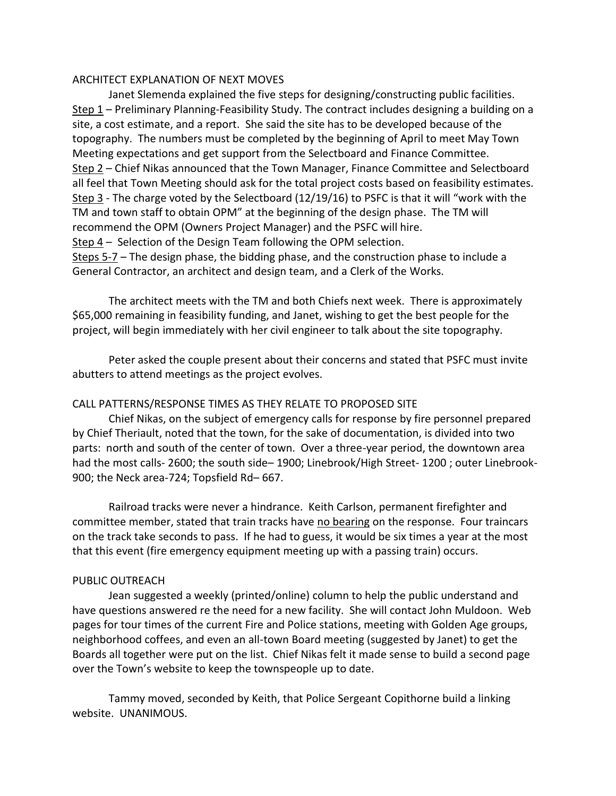## ARCHITECT EXPLANATION OF NEXT MOVES

Janet Slemenda explained the five steps for designing/constructing public facilities. Step 1 – Preliminary Planning-Feasibility Study. The contract includes designing a building on a site, a cost estimate, and a report. She said the site has to be developed because of the topography. The numbers must be completed by the beginning of April to meet May Town Meeting expectations and get support from the Selectboard and Finance Committee. Step 2 – Chief Nikas announced that the Town Manager, Finance Committee and Selectboard all feel that Town Meeting should ask for the total project costs based on feasibility estimates. Step 3 - The charge voted by the Selectboard (12/19/16) to PSFC is that it will "work with the TM and town staff to obtain OPM" at the beginning of the design phase. The TM will recommend the OPM (Owners Project Manager) and the PSFC will hire. Step  $4$  – Selection of the Design Team following the OPM selection. Steps 5-7 – The design phase, the bidding phase, and the construction phase to include a General Contractor, an architect and design team, and a Clerk of the Works.

The architect meets with the TM and both Chiefs next week. There is approximately \$65,000 remaining in feasibility funding, and Janet, wishing to get the best people for the project, will begin immediately with her civil engineer to talk about the site topography.

Peter asked the couple present about their concerns and stated that PSFC must invite abutters to attend meetings as the project evolves.

## CALL PATTERNS/RESPONSE TIMES AS THEY RELATE TO PROPOSED SITE

Chief Nikas, on the subject of emergency calls for response by fire personnel prepared by Chief Theriault, noted that the town, for the sake of documentation, is divided into two parts: north and south of the center of town. Over a three-year period, the downtown area had the most calls- 2600; the south side– 1900; Linebrook/High Street- 1200; outer Linebrook-900; the Neck area-724; Topsfield Rd– 667.

Railroad tracks were never a hindrance. Keith Carlson, permanent firefighter and committee member, stated that train tracks have no bearing on the response. Four traincars on the track take seconds to pass. If he had to guess, it would be six times a year at the most that this event (fire emergency equipment meeting up with a passing train) occurs.

## PUBLIC OUTREACH

Jean suggested a weekly (printed/online) column to help the public understand and have questions answered re the need for a new facility. She will contact John Muldoon. Web pages for tour times of the current Fire and Police stations, meeting with Golden Age groups, neighborhood coffees, and even an all-town Board meeting (suggested by Janet) to get the Boards all together were put on the list. Chief Nikas felt it made sense to build a second page over the Town's website to keep the townspeople up to date.

Tammy moved, seconded by Keith, that Police Sergeant Copithorne build a linking website. UNANIMOUS.